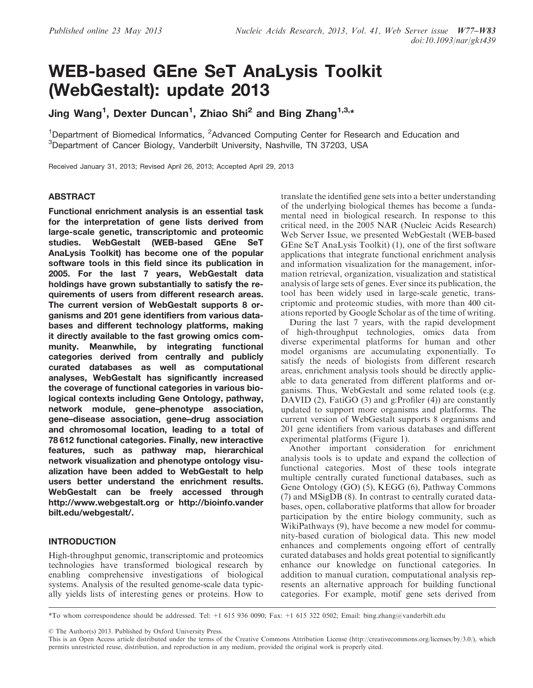# WEB-based GEne SeT AnaLysis Toolkit (WebGestalt): update 2013

Jing Wang<sup>1</sup>, Dexter Duncan<sup>1</sup>, Zhiao Shi<sup>2</sup> and Bing Zhang<sup>1,3,</sup>\*

<sup>1</sup>Department of Biomedical Informatics, <sup>2</sup>Advanced Computing Center for Research and Education and 3 Department of Cancer Biology, Vanderbilt University, Nashville, TN 37203, USA

Received January 31, 2013; Revised April 26, 2013; Accepted April 29, 2013

# ABSTRACT

Functional enrichment analysis is an essential task for the interpretation of gene lists derived from large-scale genetic, transcriptomic and proteomic studies. WebGestalt (WEB-based GEne SeT AnaLysis Toolkit) has become one of the popular software tools in this field since its publication in 2005. For the last 7 years, WebGestalt data holdings have grown substantially to satisfy the requirements of users from different research areas. The current version of WebGestalt supports 8 organisms and 201 gene identifiers from various databases and different technology platforms, making it directly available to the fast growing omics community. Meanwhile, by integrating functional categories derived from centrally and publicly curated databases as well as computational analyses, WebGestalt has significantly increased the coverage of functional categories in various biological contexts including Gene Ontology, pathway, network module, gene–phenotype association, gene–disease association, gene–drug association and chromosomal location, leading to a total of 78 612 functional categories. Finally, new interactive features, such as pathway map, hierarchical network visualization and phenotype ontology visualization have been added to WebGestalt to help users better understand the enrichment results. WebGestalt can be freely accessed through <http://www.webgestalt.org> or [http://bioinfo.vander](http://bioinfo.vanderbilt.edu/webgestalt/) [bilt.edu/webgestalt/](http://bioinfo.vanderbilt.edu/webgestalt/).

# INTRODUCTION

High-throughput genomic, transcriptomic and proteomics technologies have transformed biological research by enabling comprehensive investigations of biological systems. Analysis of the resulted genome-scale data typically yields lists of interesting genes or proteins. How to translate the identified gene sets into a better understanding of the underlying biological themes has become a fundamental need in biological research. In response to this critical need, in the 2005 NAR (Nucleic Acids Research) Web Server Issue, we presented WebGestalt (WEB-based GEne SeT AnaLysis Toolkit) [\(1](#page-6-0)), one of the first software applications that integrate functional enrichment analysis and information visualization for the management, information retrieval, organization, visualization and statistical analysis of large sets of genes. Ever since its publication, the tool has been widely used in large-scale genetic, transcriptomic and proteomic studies, with more than 400 citations reported by Google Scholar as of the time of writing.

During the last 7 years, with the rapid development of high-throughput technologies, omics data from diverse experimental platforms for human and other model organisms are accumulating exponentially. To satisfy the needs of biologists from different research areas, enrichment analysis tools should be directly applicable to data generated from different platforms and organisms. Thus, WebGestalt and some related tools (e.g. DAVID [\(2](#page-6-0)), FatiGO [\(3](#page-6-0)) and g:Profiler ([4\)](#page-6-0)) are constantly updated to support more organisms and platforms. The current version of WebGestalt supports 8 organisms and 201 gene identifiers from various databases and different experimental platforms ([Figure 1](#page-1-0)).

Another important consideration for enrichment analysis tools is to update and expand the collection of functional categories. Most of these tools integrate multiple centrally curated functional databases, such as Gene Ontology (GO) [\(5](#page-6-0)), KEGG ([6\)](#page-6-0), Pathway Commons [\(7](#page-6-0)) and MSigDB ([8\)](#page-6-0). In contrast to centrally curated databases, open, collaborative platforms that allow for broader participation by the entire biology community, such as WikiPathways ([9\)](#page-6-0), have become a new model for community-based curation of biological data. This new model enhances and complements ongoing effort of centrally curated databases and holds great potential to significantly enhance our knowledge on functional categories. In addition to manual curation, computational analysis represents an alternative approach for building functional categories. For example, motif gene sets derived from

\*To whom correspondence should be addressed. Tel: +1 615 936 0090; Fax: +1 615 322 0502; Email: bing.zhang@vanderbilt.edu

© The Author(s) 2013. Published by Oxford University Press.

This is an Open Access article distributed under the terms of the Creative Commons Attribution License (http://creativecommons.org/licenses/by/3.0/), which permits unrestricted reuse, distribution, and reproduction in any medium, provided the original work is properly cited.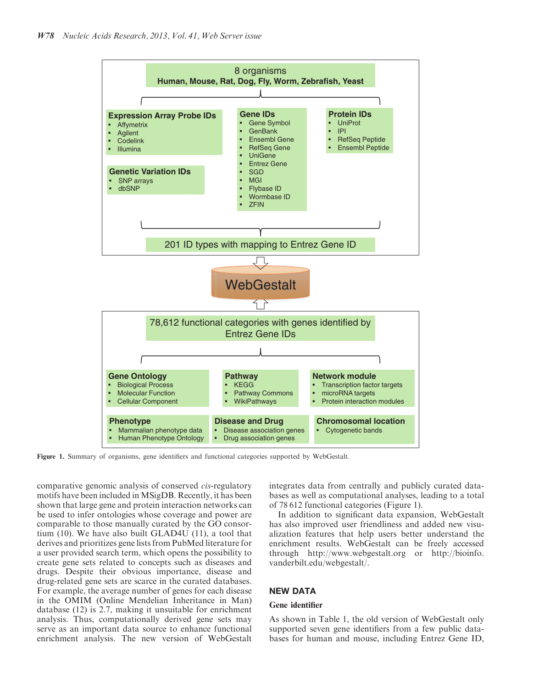<span id="page-1-0"></span>

Figure 1. Summary of organisms, gene identifiers and functional categories supported by WebGestalt.

comparative genomic analysis of conserved cis-regulatory motifs have been included in MSigDB. Recently, it has been shown that large gene and protein interaction networks can be used to infer ontologies whose coverage and power are comparable to those manually curated by the GO consortium ([10\)](#page-6-0). We have also built GLAD4U ([11\)](#page-6-0), a tool that derives and prioritizes gene lists from PubMed literature for a user provided search term, which opens the possibility to create gene sets related to concepts such as diseases and drugs. Despite their obvious importance, disease and drug-related gene sets are scarce in the curated databases. For example, the average number of genes for each disease in the OMIM (Online Mendelian Inheritance in Man) database ([12\)](#page-6-0) is 2.7, making it unsuitable for enrichment analysis. Thus, computationally derived gene sets may serve as an important data source to enhance functional enrichment analysis. The new version of WebGestalt

integrates data from centrally and publicly curated databases as well as computational analyses, leading to a total of 78 612 functional categories (Figure 1).

In addition to significant data expansion, WebGestalt has also improved user friendliness and added new visualization features that help users better understand the enrichment results. WebGestalt can be freely accessed through<http://www.webgestalt.org> or [http://bioinfo.](http://bioinfo.vanderbilt.edu/webgestalt/) [vanderbilt.edu/webgestalt/.](http://bioinfo.vanderbilt.edu/webgestalt/)

## NEW DATA

#### Gene identifier

As shown in [Table 1,](#page-2-0) the old version of WebGestalt only supported seven gene identifiers from a few public databases for human and mouse, including Entrez Gene ID,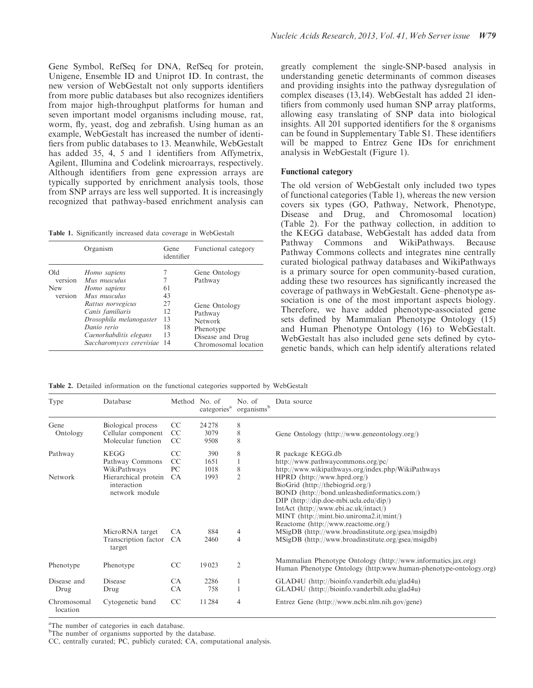<span id="page-2-0"></span>Gene Symbol, RefSeq for DNA, RefSeq for protein, Unigene, Ensemble ID and Uniprot ID. In contrast, the new version of WebGestalt not only supports identifiers from more public databases but also recognizes identifiers from major high-throughput platforms for human and seven important model organisms including mouse, rat, worm, fly, yeast, dog and zebrafish. Using human as an example, WebGestalt has increased the number of identifiers from public databases to 13. Meanwhile, WebGestalt has added 35, 4, 5 and 1 identifiers from Affymetrix, Agilent, Illumina and Codelink microarrays, respectively. Although identifiers from gene expression arrays are typically supported by enrichment analysis tools, those from SNP arrays are less well supported. It is increasingly recognized that pathway-based enrichment analysis can

| Table 1. Significantly increased data coverage in WebGestalt |  |  |  |  |  |  |  |  |
|--------------------------------------------------------------|--|--|--|--|--|--|--|--|
|--------------------------------------------------------------|--|--|--|--|--|--|--|--|

|                                         | Organism                                                                                                                                                                                                 | Gene<br>identifier                     | Functional category                                                                                                      |
|-----------------------------------------|----------------------------------------------------------------------------------------------------------------------------------------------------------------------------------------------------------|----------------------------------------|--------------------------------------------------------------------------------------------------------------------------|
| Old<br>version<br><b>New</b><br>version | Homo sapiens<br>Mus musculus<br>Homo sapiens<br>Mus musculus<br>Rattus norvegicus<br>Canis familiaris<br>Drosophila melanogaster<br>Danio rerio<br>Caenorhabditis elegans<br>Saccharomyces cerevisiae 14 | 61<br>43<br>27<br>12<br>13<br>18<br>13 | Gene Ontology<br>Pathway<br>Gene Ontology<br>Pathway<br>Network<br>Phenotype<br>Disease and Drug<br>Chromosomal location |

greatly complement the single-SNP-based analysis in understanding genetic determinants of common diseases and providing insights into the pathway dysregulation of complex diseases [\(13,14\)](#page-6-0). WebGestalt has added 21 identifiers from commonly used human SNP array platforms, allowing easy translating of SNP data into biological insights. All 201 supported identifiers for the 8 organisms can be found in [Supplementary Table S1.](http://nar.oxfordjournals.org/lookup/suppl/doi:10.1093/nar/gkt439/-/DC1) These identifiers will be mapped to Entrez Gene IDs for enrichment analysis in WebGestalt [\(Figure 1\)](#page-1-0).

#### Functional category

The old version of WebGestalt only included two types of functional categories (Table 1), whereas the new version covers six types (GO, Pathway, Network, Phenotype, Disease and Drug, and Chromosomal location) (Table 2). For the pathway collection, in addition to the KEGG database, WebGestalt has added data from Pathway Commons and WikiPathways. Because Pathway Commons collects and integrates nine centrally curated biological pathway databases and WikiPathways is a primary source for open community-based curation, adding these two resources has significantly increased the coverage of pathways in WebGestalt. Gene–phenotype association is one of the most important aspects biology. Therefore, we have added phenotype-associated gene sets defined by Mammalian Phenotype Ontology ([15\)](#page-6-0) and Human Phenotype Ontology ([16\)](#page-6-0) to WebGestalt. WebGestalt has also included gene sets defined by cytogenetic bands, which can help identify alterations related

Table 2. Detailed information on the functional categories supported by WebGestalt

| Type                    | Database                                                       | Method No. of          | categories <sup>a</sup> | No. of<br>organismsb | Data source                                                                                                                                                                                                                                                                               |
|-------------------------|----------------------------------------------------------------|------------------------|-------------------------|----------------------|-------------------------------------------------------------------------------------------------------------------------------------------------------------------------------------------------------------------------------------------------------------------------------------------|
| Gene<br>Ontology        | Biological process<br>Cellular component<br>Molecular function | CC<br>CC<br>CC         | 24 2 78<br>3079<br>9508 | 8<br>8<br>8          | Gene Ontology (http://www.geneontology.org/)                                                                                                                                                                                                                                              |
| Pathway                 | <b>KEGG</b><br>Pathway Commons<br>WikiPathways                 | CC<br>CC<br>PC         | 390<br>1651<br>1018     | 8<br>8               | R package KEGG.db<br>http://www.pathwaycommons.org/pc/<br>http://www.wikipathways.org/index.php/WikiPathways                                                                                                                                                                              |
| Network                 | Hierarchical protein<br>interaction<br>network module          | <b>CA</b>              | 1993                    | $\overline{2}$       | $HPRD$ (http://www.hprd.org/)<br>BioGrid (http://thebiogrid.org/)<br>BOND (http://bond.unleashedinformatics.com/)<br>DIP $(http://dip.doe-mbi.ucla.edu/dip/)$<br>IntAct (http://www.ebi.ac.uk/intact/)<br>MINT (http://mint.bio.uniroma2.it/mint/)<br>Reactome (http://www.reactome.org/) |
|                         | MicroRNA target<br>Transcription factor<br>target              | <b>CA</b><br><b>CA</b> | 884<br>2460             | 4<br>4               | MSigDB (http://www.broadinstitute.org/gsea/msigdb)<br>MSigDB (http://www.broadinstitute.org/gsea/msigdb)                                                                                                                                                                                  |
| Phenotype               | Phenotype                                                      | CC                     | 19023                   | $\overline{2}$       | Mammalian Phenotype Ontology (http://www.informatics.jax.org)<br>Human Phenotype Ontology (http:www.human-phenotype-ontology.org)                                                                                                                                                         |
| Disease and<br>Drug     | <b>Disease</b><br>Drug                                         | <b>CA</b><br><b>CA</b> | 2286<br>758             |                      | GLAD4U (http://bioinfo.vanderbilt.edu/glad4u)<br>GLAD4U (http://bioinfo.vanderbilt.edu/glad4u)                                                                                                                                                                                            |
| Chromosomal<br>location | Cytogenetic band                                               | CC                     | 11284                   | 4                    | Entrez Gene (http://www.ncbi.nlm.nih.gov/gene)                                                                                                                                                                                                                                            |

<sup>a</sup>The number of categories in each database.

<sup>b</sup>The number of organisms supported by the database.

CC, centrally curated; PC, publicly curated; CA, computational analysis.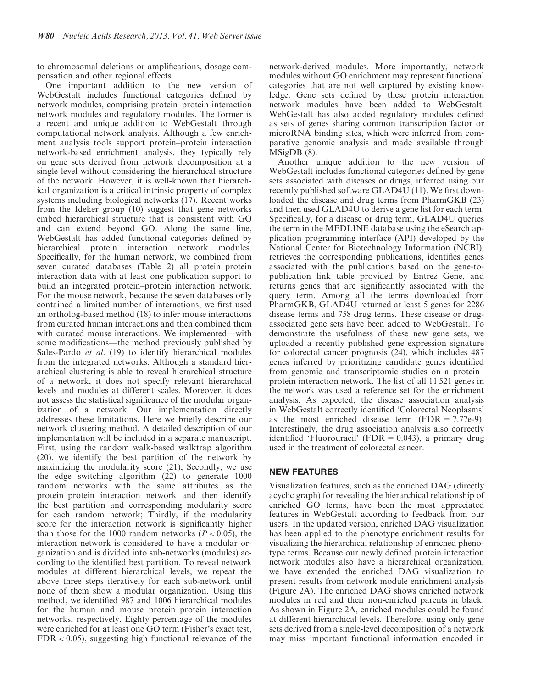to chromosomal deletions or amplifications, dosage compensation and other regional effects.

One important addition to the new version of WebGestalt includes functional categories defined by network modules, comprising protein–protein interaction network modules and regulatory modules. The former is a recent and unique addition to WebGestalt through computational network analysis. Although a few enrichment analysis tools support protein–protein interaction network-based enrichment analysis, they typically rely on gene sets derived from network decomposition at a single level without considering the hierarchical structure of the network. However, it is well-known that hierarchical organization is a critical intrinsic property of complex systems including biological networks [\(17](#page-6-0)). Recent works from the Ideker group [\(10](#page-6-0)) suggest that gene networks embed hierarchical structure that is consistent with GO and can extend beyond GO. Along the same line, WebGestalt has added functional categories defined by hierarchical protein interaction network modules. Specifically, for the human network, we combined from seven curated databases [\(Table 2\)](#page-2-0) all protein–protein interaction data with at least one publication support to build an integrated protein–protein interaction network. For the mouse network, because the seven databases only contained a limited number of interactions, we first used an ortholog-based method [\(18](#page-6-0)) to infer mouse interactions from curated human interactions and then combined them with curated mouse interactions. We implemented—with some modifications—the method previously published by Sales-Pardo et al. [\(19](#page-6-0)) to identify hierarchical modules from the integrated networks. Although a standard hierarchical clustering is able to reveal hierarchical structure of a network, it does not specify relevant hierarchical levels and modules at different scales. Moreover, it does not assess the statistical significance of the modular organization of a network. Our implementation directly addresses these limitations. Here we briefly describe our network clustering method. A detailed description of our implementation will be included in a separate manuscript. First, using the random walk-based walktrap algorithm ([20\)](#page-6-0), we identify the best partition of the network by maximizing the modularity score [\(21](#page-6-0)); Secondly, we use the edge switching algorithm ([22\)](#page-6-0) to generate 1000 random networks with the same attributes as the protein–protein interaction network and then identify the best partition and corresponding modularity score for each random network; Thirdly, if the modularity score for the interaction network is significantly higher than those for the 1000 random networks ( $P < 0.05$ ), the interaction network is considered to have a modular organization and is divided into sub-networks (modules) according to the identified best partition. To reveal network modules at different hierarchical levels, we repeat the above three steps iteratively for each sub-network until none of them show a modular organization. Using this method, we identified 987 and 1006 hierarchical modules for the human and mouse protein–protein interaction networks, respectively. Eighty percentage of the modules were enriched for at least one GO term (Fisher's exact test, FDR < 0.05), suggesting high functional relevance of the

network-derived modules. More importantly, network modules without GO enrichment may represent functional categories that are not well captured by existing knowledge. Gene sets defined by these protein interaction network modules have been added to WebGestalt. WebGestalt has also added regulatory modules defined as sets of genes sharing common transcription factor or microRNA binding sites, which were inferred from comparative genomic analysis and made available through MSigDB ([8\)](#page-6-0).

Another unique addition to the new version of WebGestalt includes functional categories defined by gene sets associated with diseases or drugs, inferred using our recently published software GLAD4U [\(11](#page-6-0)). We first downloaded the disease and drug terms from PharmGKB [\(23](#page-6-0)) and then used GLAD4U to derive a gene list for each term. Specifically, for a disease or drug term, GLAD4U queries the term in the MEDLINE database using the eSearch application programming interface (API) developed by the National Center for Biotechnology Information (NCBI), retrieves the corresponding publications, identifies genes associated with the publications based on the gene-topublication link table provided by Entrez Gene, and returns genes that are significantly associated with the query term. Among all the terms downloaded from PharmGKB, GLAD4U returned at least 5 genes for 2286 disease terms and 758 drug terms. These disease or drugassociated gene sets have been added to WebGestalt. To demonstrate the usefulness of these new gene sets, we uploaded a recently published gene expression signature for colorectal cancer prognosis ([24\)](#page-6-0), which includes 487 genes inferred by prioritizing candidate genes identified from genomic and transcriptomic studies on a protein– protein interaction network. The list of all 11 521 genes in the network was used a reference set for the enrichment analysis. As expected, the disease association analysis in WebGestalt correctly identified 'Colorectal Neoplasms' as the most enriched disease term  $(FDR = 7.77e-9)$ . Interestingly, the drug association analysis also correctly identified 'Fluorouracil' (FDR =  $0.043$ ), a primary drug used in the treatment of colorectal cancer.

# NEW FEATURES

Visualization features, such as the enriched DAG (directly acyclic graph) for revealing the hierarchical relationship of enriched GO terms, have been the most appreciated features in WebGestalt according to feedback from our users. In the updated version, enriched DAG visualization has been applied to the phenotype enrichment results for visualizing the hierarchical relationship of enriched phenotype terms. Because our newly defined protein interaction network modules also have a hierarchical organization, we have extended the enriched DAG visualization to present results from network module enrichment analysis ([Figure 2](#page-4-0)A). The enriched DAG shows enriched network modules in red and their non-enriched parents in black. As shown in [Figure 2](#page-4-0)A, enriched modules could be found at different hierarchical levels. Therefore, using only gene sets derived from a single-level decomposition of a network may miss important functional information encoded in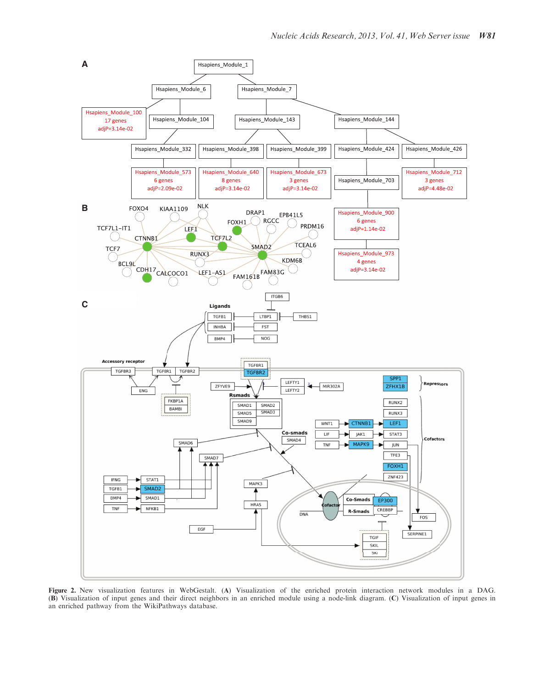<span id="page-4-0"></span>

Figure 2. New visualization features in WebGestalt. (A) Visualization of the enriched protein interaction network modules in a DAG. (B) Visualization of input genes and their direct neighbors in an enriched module using a node-link diagram. (C) Visualization of input genes in an enriched pathway from the WikiPathways database.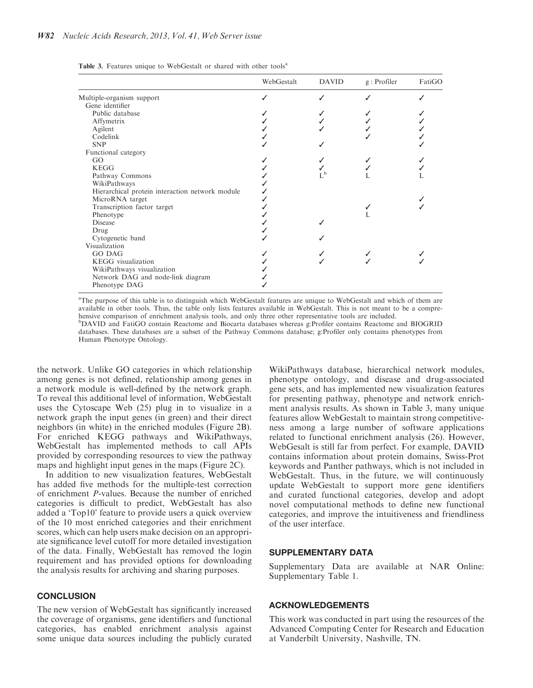|  |  |  | Table 3. Features unique to WebGestalt or shared with other tools <sup>a</sup> |  |  |  |  |
|--|--|--|--------------------------------------------------------------------------------|--|--|--|--|
|--|--|--|--------------------------------------------------------------------------------|--|--|--|--|

|                                                 | WebGestalt | <b>DAVID</b> | $g:$ Profiler | FatiGO |
|-------------------------------------------------|------------|--------------|---------------|--------|
| Multiple-organism support                       |            |              |               |        |
| Gene identifier                                 |            |              |               |        |
| Public database                                 |            |              |               |        |
| Affymetrix                                      |            |              |               |        |
| Agilent                                         |            |              |               |        |
| Codelink                                        |            |              |               |        |
| <b>SNP</b>                                      |            |              |               |        |
| Functional category                             |            |              |               |        |
| GO                                              |            |              |               |        |
| <b>KEGG</b>                                     |            |              |               |        |
| Pathway Commons                                 |            | $L^{\rm b}$  |               |        |
| WikiPathways                                    |            |              |               |        |
| Hierarchical protein interaction network module |            |              |               |        |
| MicroRNA target                                 |            |              |               |        |
| Transcription factor target                     |            |              |               |        |
| Phenotype                                       |            |              |               |        |
| Disease                                         |            |              |               |        |
| Drug                                            |            |              |               |        |
| Cytogenetic band                                |            |              |               |        |
| Visualization                                   |            |              |               |        |
| GO DAG                                          |            |              |               |        |
| KEGG visualization                              |            |              |               |        |
| WikiPathways visualization                      |            |              |               |        |
| Network DAG and node-link diagram               |            |              |               |        |
| Phenotype DAG                                   |            |              |               |        |

<sup>a</sup>The purpose of this table is to distinguish which WebGestalt features are unique to WebGestalt and which of them are available in other tools. Thus, the table only lists features available in WebGestalt. This is not meant to be a comprehensive comparison of enrichment analysis tools, and only three other representative tools are included. b DAVID and FatiGO contain Reactome and Biocarta databases whereas g:Profiler contains Reactome and BIOGRID databases. These databases are a subset of the Pathway Commons database; g:Profiler only contains phenotypes from Human Phenotype Ontology.

the network. Unlike GO categories in which relationship among genes is not defined, relationship among genes in a network module is well-defined by the network graph. To reveal this additional level of information, WebGestalt uses the Cytoscape Web ([25\)](#page-6-0) plug in to visualize in a network graph the input genes (in green) and their direct neighbors (in white) in the enriched modules ([Figure 2B](#page-4-0)). For enriched KEGG pathways and WikiPathways, WebGestalt has implemented methods to call APIs provided by corresponding resources to view the pathway maps and highlight input genes in the maps [\(Figure 2C](#page-4-0)).

In addition to new visualization features, WebGestalt has added five methods for the multiple-test correction of enrichment P-values. Because the number of enriched categories is difficult to predict, WebGestalt has also added a 'Top10' feature to provide users a quick overview of the 10 most enriched categories and their enrichment scores, which can help users make decision on an appropriate significance level cutoff for more detailed investigation of the data. Finally, WebGestalt has removed the login requirement and has provided options for downloading the analysis results for archiving and sharing purposes.

## **CONCLUSION**

The new version of WebGestalt has significantly increased the coverage of organisms, gene identifiers and functional categories, has enabled enrichment analysis against some unique data sources including the publicly curated WikiPathways database, hierarchical network modules, phenotype ontology, and disease and drug-associated gene sets, and has implemented new visualization features for presenting pathway, phenotype and network enrichment analysis results. As shown in Table 3, many unique features allow WebGestalt to maintain strong competitiveness among a large number of software applications related to functional enrichment analysis [\(26](#page-6-0)). However, WebGesalt is still far from perfect. For example, DAVID contains information about protein domains, Swiss-Prot keywords and Panther pathways, which is not included in WebGestalt. Thus, in the future, we will continuously update WebGestalt to support more gene identifiers and curated functional categories, develop and adopt novel computational methods to define new functional categories, and improve the intuitiveness and friendliness of the user interface.

### SUPPLEMENTARY DATA

[Supplementary Data](http://nar.oxfordjournals.org/lookup/suppl/doi:10.1093/nar/gkt439/-/DC1) are available at NAR Online: Supplementary Table 1.

#### ACKNOWLEDGEMENTS

This work was conducted in part using the resources of the Advanced Computing Center for Research and Education at Vanderbilt University, Nashville, TN.